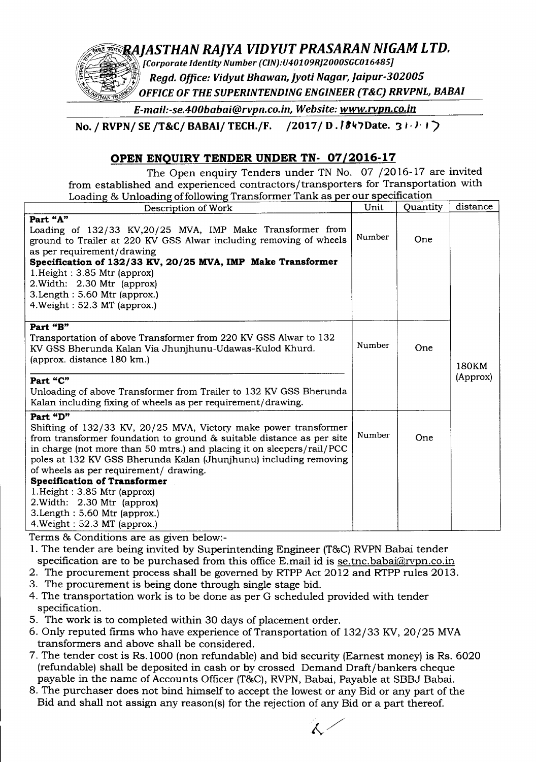RAJASTHAN RAJYA VIDYUT PRASARAN NIGAM LTD.

[Corporate Identity Number (CIN):U40109RJ2000SGC016485] Regd. Office: Vidyut Bhawan, Jyoti Nagar, Jaipur-302005 OFFICE OF THE SUPERINTENDING ENGINEER (T&C) RRVPNL, BABAI

*E-mail:-se.400babai@rvpn.co.in. Website: www.rvpn.co.in*

No. / RVPN/ SE/T&C/ BABAI/ TECH./F. /2017/ D.  $8\forall$ TDate. 3

## OPEN ENQUIRY TENDER UNDER TN- 07/2016-17

The Open enquiry Tenders under TN No. 07 /2016-17 are invited from established and experienced contractors/transporters for Transportation with Loading & Unloading of following Transformer Tank as per our specification

| Description of Work                                                                                                                                                                                                                                                                                                                                                                   | Unit   | Quantity | distance |
|---------------------------------------------------------------------------------------------------------------------------------------------------------------------------------------------------------------------------------------------------------------------------------------------------------------------------------------------------------------------------------------|--------|----------|----------|
| Part "A"<br>Loading of 132/33 KV,20/25 MVA, IMP Make Transformer from<br>ground to Trailer at 220 KV GSS Alwar including removing of wheels<br>as per requirement/drawing<br>Specification of 132/33 KV, 20/25 MVA, IMP Make Transformer<br>$1.Height: 3.85 Mtr$ (approx)<br>2. Width: 2.30 Mtr (approx)<br>$3.$ Length : 5.60 Mtr (approx.)<br>4. Weight: 52.3 MT (approx.)          | Number | One      |          |
| Part "B"<br>Transportation of above Transformer from 220 KV GSS Alwar to 132<br>KV GSS Bherunda Kalan Via Jhunjhunu-Udawas-Kulod Khurd.<br>(approx. distance 180 km.)                                                                                                                                                                                                                 | Number | One      | 180KM    |
| Part "C"<br>Unloading of above Transformer from Trailer to 132 KV GSS Bherunda<br>Kalan including fixing of wheels as per requirement/drawing.                                                                                                                                                                                                                                        |        |          | (Approx) |
| Part "D"<br>Shifting of 132/33 KV, 20/25 MVA, Victory make power transformer<br>from transformer foundation to ground & suitable distance as per site<br>in charge (not more than 50 mtrs.) and placing it on sleepers/rail/PCC<br>poles at 132 KV GSS Bherunda Kalan (Jhunjhunu) including removing<br>of wheels as per requirement/ drawing.<br><b>Specification of Transformer</b> | Number | One      |          |
| 1. Height: 3.85 Mtr (approx)<br>2. Width: 2.30 Mtr (approx)<br>3. Length: 5.60 Mtr (approx.)<br>4. Weight: 52.3 MT (approx.)                                                                                                                                                                                                                                                          |        |          |          |

Terms & Conditions are as given below:-

1. The tender are being invited by Superintending Engineer (T&C) RVPN Babai tender specification are to be purchased from this office E.mail id is se.tnc.babai@rvpn.co.in

- 2. The procurement process shall be governed by RTPP Act 2012 and RTPP rules 2013.
- 3. The procurement is being done through single stage bid.
- 4. The transportation work is to be done as per G scheduled provided with tender specification.
- 5. The work is to completed within 30 days of placement order.
- 6. Only reputed firms who have experience of Transportation of 132/33 KV,20/25 MVA transformers and above shall be considered.
- 7. The tender cost is Rs.1000 (non refundable) and bid security (Earnest money) is Rs. 6020 (refundable) shall be deposited in cash or by crossed Demand Draft/bankers cheque payable in the name of Accounts Officer (T&C), RVPN, Babai, Payable at SBBJ Babai.
- 8. The purchaser does not bind himself to accept the lowest or any Bid or any part of the Bid and shall not assign any reason(s) for the rejection of any Bid or a part thereof.